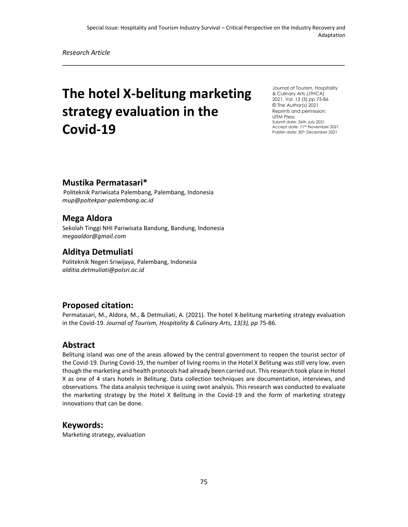\_\_\_\_\_\_\_\_\_\_\_\_\_\_\_\_\_\_\_\_\_\_\_\_\_\_\_\_\_\_\_\_\_\_\_\_\_\_\_\_\_\_\_\_\_\_\_\_\_\_\_\_\_\_\_\_\_\_\_\_\_\_\_\_\_\_\_\_\_\_\_

*Research Article*

# **The hotel X-belitung marketing strategy evaluation in the Covid-19**

Journal of Tourism, Hospitality & Culinary Arts (JTHCA) 2021, Vol. 13 (3) pp 75-86 © The Author(s) 2021 Reprints and permission: UiTM Press Submit date: 26th July 2021 Accept date: 11<sup>th</sup> November 2021 Publish date: 30<sup>th</sup> December 2021

### **Mustika Permatasari\***

Politeknik Pariwisata Palembang, Palembang, Indonesia *mup@poltekpar-palembang.ac.id*

### **Mega Aldora**

Sekolah Tinggi NHI Pariwisata Bandung, Bandung, Indonesia *[megaaldor@gmail.com](mailto:megaaldor@gmail.com)*

### **Alditya Detmuliati**

Politeknik Negeri Sriwijaya, Palembang, Indonesia *alditia.detmuliati@polsri.ac.id*

#### **Proposed citation:**

Permatasari, M., Aldora, M., & Detmuliati, A. (2021). The hotel X-belitung marketing strategy evaluation in the Covid-19. *Journal of Tourism, Hospitality & Culinary Arts, 13(3), pp* 75-86.

#### **Abstract**

Belitung island was one of the areas allowed by the central government to reopen the tourist sector of the Covid-19. During Covid-19, the number of living rooms in the Hotel X Belitung was still very low, even though the marketing and health protocols had already been carried out. This research took place in Hotel X as one of 4 stars hotels in Belitung. Data collection techniques are documentation, interviews, and observations. The data analysis technique is using swot analysis. This research was conducted to evaluate the marketing strategy by the Hotel X Belitung in the Covid-19 and the form of marketing strategy innovations that can be done.

#### **Keywords:**

Marketing strategy, evaluation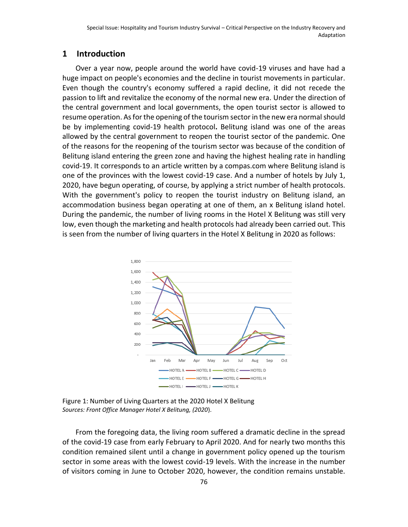#### **1 Introduction**

Over a year now, people around the world have covid-19 viruses and have had a huge impact on people's economies and the decline in tourist movements in particular. Even though the country's economy suffered a rapid decline, it did not recede the passion to lift and revitalize the economy of the normal new era. Under the direction of the central government and local governments, the open tourist sector is allowed to resume operation. As for the opening of the tourism sector in the new era normal should be by implementing covid-19 health protocol**.** Belitung island was one of the areas allowed by the central government to reopen the tourist sector of the pandemic. One of the reasons for the reopening of the tourism sector was because of the condition of Belitung island entering the green zone and having the highest healing rate in handling covid-19. It corresponds to an article written by a compas.com where Belitung island is one of the provinces with the lowest covid-19 case. And a number of hotels by July 1, 2020, have begun operating, of course, by applying a strict number of health protocols. With the government's policy to reopen the tourist industry on Belitung island, an accommodation business began operating at one of them, an x Belitung island hotel. During the pandemic, the number of living rooms in the Hotel X Belitung was still very low, even though the marketing and health protocols had already been carried out. This is seen from the number of living quarters in the Hotel X Belitung in 2020 as follows:



Figure 1: Number of Living Quarters at the 2020 Hotel X Belitung *Sources: Front Office Manager Hotel X Belitung, (2020*).

From the foregoing data, the living room suffered a dramatic decline in the spread of the covid-19 case from early February to April 2020. And for nearly two months this condition remained silent until a change in government policy opened up the tourism sector in some areas with the lowest covid-19 levels. With the increase in the number of visitors coming in June to October 2020, however, the condition remains unstable.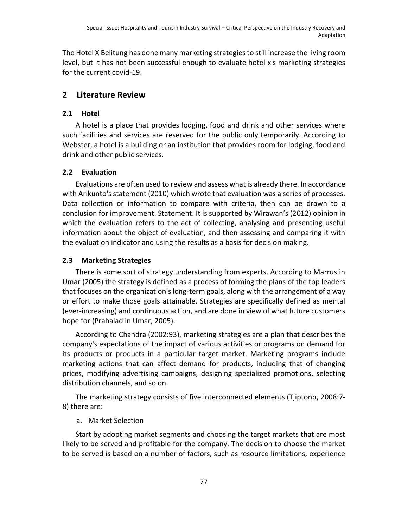The Hotel X Belitung has done many marketing strategies to still increase the living room level, but it has not been successful enough to evaluate hotel x's marketing strategies for the current covid-19.

## **2 Literature Review**

## **2.1 Hotel**

A hotel is a place that provides lodging, food and drink and other services where such facilities and services are reserved for the public only temporarily. According to Webster, a hotel is a building or an institution that provides room for lodging, food and drink and other public services.

### **2.2 Evaluation**

Evaluations are often used to review and assess what is already there. In accordance with Arikunto's statement (2010) which wrote that evaluation was a series of processes. Data collection or information to compare with criteria, then can be drawn to a conclusion for improvement. Statement. It is supported by Wirawan's (2012) opinion in which the evaluation refers to the act of collecting, analysing and presenting useful information about the object of evaluation, and then assessing and comparing it with the evaluation indicator and using the results as a basis for decision making.

### **2.3 Marketing Strategies**

There is some sort of strategy understanding from experts. According to Marrus in Umar (2005) the strategy is defined as a process of forming the plans of the top leaders that focuses on the organization's long-term goals, along with the arrangement of a way or effort to make those goals attainable. Strategies are specifically defined as mental (ever-increasing) and continuous action, and are done in view of what future customers hope for (Prahalad in Umar, 2005).

According to Chandra (2002:93), marketing strategies are a plan that describes the company's expectations of the impact of various activities or programs on demand for its products or products in a particular target market. Marketing programs include marketing actions that can affect demand for products, including that of changing prices, modifying advertising campaigns, designing specialized promotions, selecting distribution channels, and so on.

The marketing strategy consists of five interconnected elements (Tjiptono, 2008:7- 8) there are:

## a. Market Selection

Start by adopting market segments and choosing the target markets that are most likely to be served and profitable for the company. The decision to choose the market to be served is based on a number of factors, such as resource limitations, experience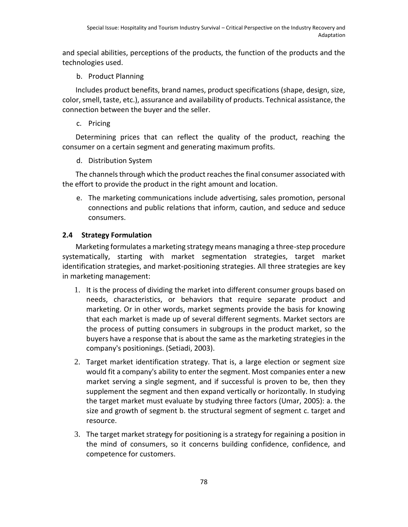and special abilities, perceptions of the products, the function of the products and the technologies used.

b. Product Planning

Includes product benefits, brand names, product specifications (shape, design, size, color, smell, taste, etc.), assurance and availability of products. Technical assistance, the connection between the buyer and the seller.

c. Pricing

Determining prices that can reflect the quality of the product, reaching the consumer on a certain segment and generating maximum profits.

d. Distribution System

The channels through which the product reaches the final consumer associated with the effort to provide the product in the right amount and location.

e. The marketing communications include advertising, sales promotion, personal connections and public relations that inform, caution, and seduce and seduce consumers.

## **2.4 Strategy Formulation**

Marketing formulates a marketing strategy means managing a three-step procedure systematically, starting with market segmentation strategies, target market identification strategies, and market-positioning strategies. All three strategies are key in marketing management:

- 1. It is the process of dividing the market into different consumer groups based on needs, characteristics, or behaviors that require separate product and marketing. Or in other words, market segments provide the basis for knowing that each market is made up of several different segments. Market sectors are the process of putting consumers in subgroups in the product market, so the buyers have a response that is about the same as the marketing strategies in the company's positionings. (Setiadi, 2003).
- 2. Target market identification strategy. That is, a large election or segment size would fit a company's ability to enter the segment. Most companies enter a new market serving a single segment, and if successful is proven to be, then they supplement the segment and then expand vertically or horizontally. In studying the target market must evaluate by studying three factors (Umar, 2005): a. the size and growth of segment b. the structural segment of segment c. target and resource.
- 3. The target market strategy for positioning is a strategy for regaining a position in the mind of consumers, so it concerns building confidence, confidence, and competence for customers.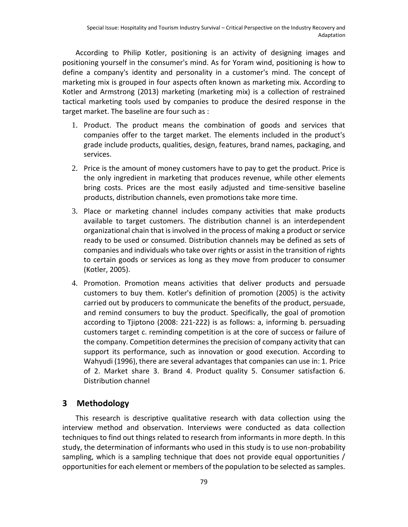According to Philip Kotler, positioning is an activity of designing images and positioning yourself in the consumer's mind. As for Yoram wind, positioning is how to define a company's identity and personality in a customer's mind. The concept of marketing mix is grouped in four aspects often known as marketing mix. According to Kotler and Armstrong (2013) marketing (marketing mix) is a collection of restrained tactical marketing tools used by companies to produce the desired response in the target market. The baseline are four such as :

- 1. Product. The product means the combination of goods and services that companies offer to the target market. The elements included in the product's grade include products, qualities, design, features, brand names, packaging, and services.
- 2. Price is the amount of money customers have to pay to get the product. Price is the only ingredient in marketing that produces revenue, while other elements bring costs. Prices are the most easily adjusted and time-sensitive baseline products, distribution channels, even promotions take more time.
- 3. Place or marketing channel includes company activities that make products available to target customers. The distribution channel is an interdependent organizational chain that is involved in the process of making a product or service ready to be used or consumed. Distribution channels may be defined as sets of companies and individuals who take over rights or assist in the transition of rights to certain goods or services as long as they move from producer to consumer (Kotler, 2005).
- 4. Promotion. Promotion means activities that deliver products and persuade customers to buy them. Kotler's definition of promotion (2005) is the activity carried out by producers to communicate the benefits of the product, persuade, and remind consumers to buy the product. Specifically, the goal of promotion according to Tjiptono (2008: 221-222) is as follows: a, informing b. persuading customers target c. reminding competition is at the core of success or failure of the company. Competition determines the precision of company activity that can support its performance, such as innovation or good execution. According to Wahyudi (1996), there are several advantages that companies can use in: 1. Price of 2. Market share 3. Brand 4. Product quality 5. Consumer satisfaction 6. Distribution channel

## **3 Methodology**

This research is descriptive qualitative research with data collection using the interview method and observation. Interviews were conducted as data collection techniques to find out things related to research from informants in more depth. In this study, the determination of informants who used in this study is to use non-probability sampling, which is a sampling technique that does not provide equal opportunities / opportunities for each element or members of the population to be selected as samples.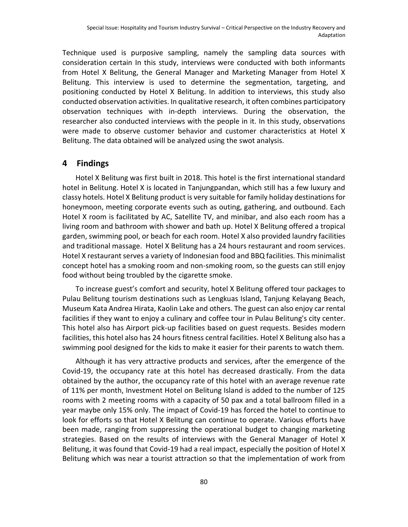Technique used is purposive sampling, namely the sampling data sources with consideration certain In this study, interviews were conducted with both informants from Hotel X Belitung, the General Manager and Marketing Manager from Hotel X Belitung. This interview is used to determine the segmentation, targeting, and positioning conducted by Hotel X Belitung. In addition to interviews, this study also conducted observation activities. In qualitative research, it often combines participatory observation techniques with in-depth interviews. During the observation, the researcher also conducted interviews with the people in it. In this study, observations were made to observe customer behavior and customer characteristics at Hotel X Belitung. The data obtained will be analyzed using the swot analysis.

#### **4 Findings**

Hotel X Belitung was first built in 2018. This hotel is the first international standard hotel in Belitung. Hotel X is located in Tanjungpandan, which still has a few luxury and classy hotels. Hotel X Belitung product is very suitable for family holiday destinations for honeymoon, meeting corporate events such as outing, gathering, and outbound. Each Hotel X room is facilitated by AC, Satellite TV, and minibar, and also each room has a living room and bathroom with shower and bath up. Hotel X Belitung offered a tropical garden, swimming pool, or beach for each room. Hotel X also provided laundry facilities and traditional massage. Hotel X Belitung has a 24 hours restaurant and room services. Hotel X restaurant serves a variety of Indonesian food and BBQ facilities. This minimalist concept hotel has a smoking room and non-smoking room, so the guests can still enjoy food without being troubled by the cigarette smoke.

To increase guest's comfort and security, hotel X Belitung offered tour packages to Pulau Belitung tourism destinations such as Lengkuas Island, Tanjung Kelayang Beach, Museum Kata Andrea Hirata, Kaolin Lake and others. The guest can also enjoy car rental facilities if they want to enjoy a culinary and coffee tour in Pulau Belitung's city center. This hotel also has Airport pick-up facilities based on guest requests. Besides modern facilities, this hotel also has 24 hours fitness central facilities. Hotel X Belitung also has a swimming pool designed for the kids to make it easier for their parents to watch them.

Although it has very attractive products and services, after the emergence of the Covid-19, the occupancy rate at this hotel has decreased drastically. From the data obtained by the author, the occupancy rate of this hotel with an average revenue rate of 11% per month, Investment Hotel on Belitung Island is added to the number of 125 rooms with 2 meeting rooms with a capacity of 50 pax and a total ballroom filled in a year maybe only 15% only. The impact of Covid-19 has forced the hotel to continue to look for efforts so that Hotel X Belitung can continue to operate. Various efforts have been made, ranging from suppressing the operational budget to changing marketing strategies. Based on the results of interviews with the General Manager of Hotel X Belitung, it was found that Covid-19 had a real impact, especially the position of Hotel X Belitung which was near a tourist attraction so that the implementation of work from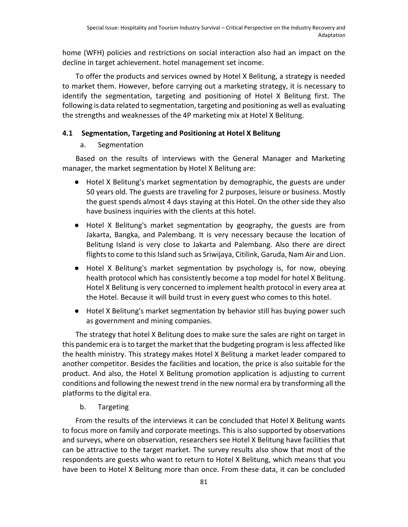home (WFH) policies and restrictions on social interaction also had an impact on the decline in target achievement. hotel management set income.

To offer the products and services owned by Hotel X Belitung, a strategy is needed to market them. However, before carrying out a marketing strategy, it is necessary to identify the segmentation, targeting and positioning of Hotel X Belitung first. The following is data related to segmentation, targeting and positioning as well as evaluating the strengths and weaknesses of the 4P marketing mix at Hotel X Belitung.

#### **4.1 Segmentation, Targeting and Positioning at Hotel X Belitung**

#### a. Segmentation

Based on the results of interviews with the General Manager and Marketing manager, the market segmentation by Hotel X Belitung are:

- Hotel X Belitung's market segmentation by demographic, the guests are under 50 years old. The guests are traveling for 2 purposes, leisure or business. Mostly the guest spends almost 4 days staying at this Hotel. On the other side they also have business inquiries with the clients at this hotel.
- Hotel X Belitung's market segmentation by geography, the guests are from Jakarta, Bangka, and Palembang. It is very necessary because the location of Belitung Island is very close to Jakarta and Palembang. Also there are direct flights to come to this Island such as Sriwijaya, Citilink, Garuda, Nam Air and Lion.
- Hotel X Belitung's market segmentation by psychology is, for now, obeying health protocol which has consistently become a top model for hotel X Belitung. Hotel X Belitung is very concerned to implement health protocol in every area at the Hotel. Because it will build trust in every guest who comes to this hotel.
- Hotel X Belitung's market segmentation by behavior still has buying power such as government and mining companies.

The strategy that hotel X Belitung does to make sure the sales are right on target in this pandemic era is to target the market that the budgeting program is less affected like the health ministry. This strategy makes Hotel X Belitung a market leader compared to another competitor. Besides the facilities and location, the price is also suitable for the product. And also, the Hotel X Belitung promotion application is adjusting to current conditions and following the newest trend in the new normal era by transforming all the platforms to the digital era.

b. Targeting

From the results of the interviews it can be concluded that Hotel X Belitung wants to focus more on family and corporate meetings. This is also supported by observations and surveys, where on observation, researchers see Hotel X Belitung have facilities that can be attractive to the target market. The survey results also show that most of the respondents are guests who want to return to Hotel X Belitung, which means that you have been to Hotel X Belitung more than once. From these data, it can be concluded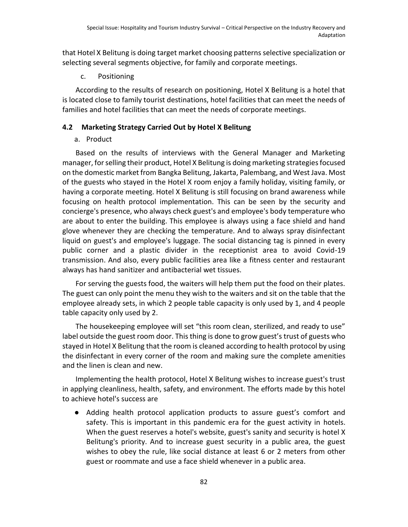that Hotel X Belitung is doing target market choosing patterns selective specialization or selecting several segments objective, for family and corporate meetings.

c. Positioning

According to the results of research on positioning, Hotel X Belitung is a hotel that is located close to family tourist destinations, hotel facilities that can meet the needs of families and hotel facilities that can meet the needs of corporate meetings.

#### **4.2 Marketing Strategy Carried Out by Hotel X Belitung**

#### a. Product

Based on the results of interviews with the General Manager and Marketing manager, for selling their product, Hotel X Belitung is doing marketing strategies focused on the domestic market from Bangka Belitung, Jakarta, Palembang, and West Java. Most of the guests who stayed in the Hotel X room enjoy a family holiday, visiting family, or having a corporate meeting. Hotel X Belitung is still focusing on brand awareness while focusing on health protocol implementation. This can be seen by the security and concierge's presence, who always check guest's and employee's body temperature who are about to enter the building. This employee is always using a face shield and hand glove whenever they are checking the temperature. And to always spray disinfectant liquid on guest's and employee's luggage. The social distancing tag is pinned in every public corner and a plastic divider in the receptionist area to avoid Covid-19 transmission. And also, every public facilities area like a fitness center and restaurant always has hand sanitizer and antibacterial wet tissues.

For serving the guests food, the waiters will help them put the food on their plates. The guest can only point the menu they wish to the waiters and sit on the table that the employee already sets, in which 2 people table capacity is only used by 1, and 4 people table capacity only used by 2.

The housekeeping employee will set "this room clean, sterilized, and ready to use" label outside the guest room door. This thing is done to grow guest's trust of guests who stayed in Hotel X Belitung that the room is cleaned according to health protocol by using the disinfectant in every corner of the room and making sure the complete amenities and the linen is clean and new.

Implementing the health protocol, Hotel X Belitung wishes to increase guest's trust in applying cleanliness, health, safety, and environment. The efforts made by this hotel to achieve hotel's success are

Adding health protocol application products to assure guest's comfort and safety. This is important in this pandemic era for the guest activity in hotels. When the guest reserves a hotel's website, guest's sanity and security is hotel X Belitung's priority. And to increase guest security in a public area, the guest wishes to obey the rule, like social distance at least 6 or 2 meters from other guest or roommate and use a face shield whenever in a public area.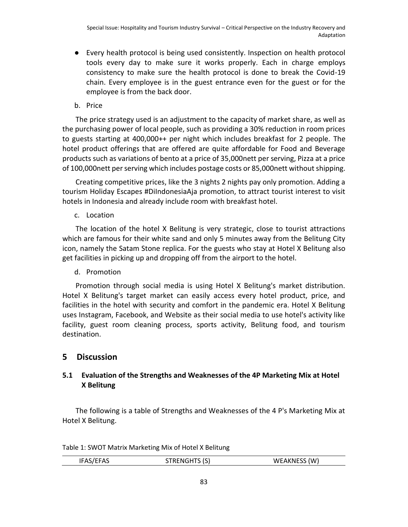● Every health protocol is being used consistently. Inspection on health protocol tools every day to make sure it works properly. Each in charge employs consistency to make sure the health protocol is done to break the Covid-19 chain. Every employee is in the guest entrance even for the guest or for the employee is from the back door.

b. Price

The price strategy used is an adjustment to the capacity of market share, as well as the purchasing power of local people, such as providing a 30% reduction in room prices to guests starting at 400,000++ per night which includes breakfast for 2 people. The hotel product offerings that are offered are quite affordable for Food and Beverage products such as variations of bento at a price of 35,000nett per serving, Pizza at a price of 100,000nett per serving which includes postage costs or 85,000nett without shipping.

Creating competitive prices, like the 3 nights 2 nights pay only promotion. Adding a tourism Holiday Escapes #DiIndonesiaAja promotion, to attract tourist interest to visit hotels in Indonesia and already include room with breakfast hotel.

c. Location

The location of the hotel X Belitung is very strategic, close to tourist attractions which are famous for their white sand and only 5 minutes away from the Belitung City icon, namely the Satam Stone replica. For the guests who stay at Hotel X Belitung also get facilities in picking up and dropping off from the airport to the hotel.

d. Promotion

Promotion through social media is using Hotel X Belitung's market distribution. Hotel X Belitung's target market can easily access every hotel product, price, and facilities in the hotel with security and comfort in the pandemic era. Hotel X Belitung uses Instagram, Facebook, and Website as their social media to use hotel's activity like facility, guest room cleaning process, sports activity, Belitung food, and tourism destination.

## **5 Discussion**

## **5.1 Evaluation of the Strengths and Weaknesses of the 4P Marketing Mix at Hotel X Belitung**

The following is a table of Strengths and Weaknesses of the 4 P's Marketing Mix at Hotel X Belitung.

Table 1: SWOT Matrix Marketing Mix of Hotel X Belitung

| IFAS/EFAS | <b>STRENGHTS (S)</b> | WEAKNESS (W) |
|-----------|----------------------|--------------|
|           |                      |              |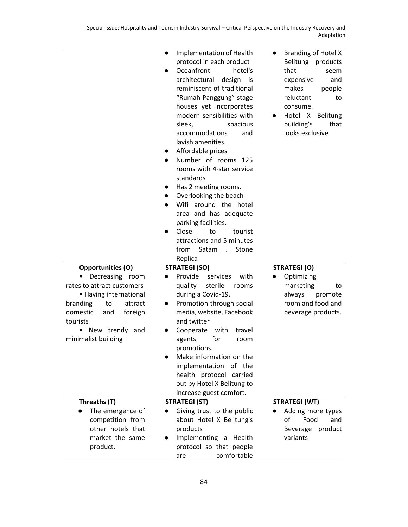|                                                     | Implementation of Health<br>$\bullet$<br>protocol in each product<br>Oceanfront<br>hotel's<br>$\bullet$<br>architectural<br>design<br>is<br>reminiscent of traditional<br>"Rumah Panggung" stage<br>houses yet incorporates<br>modern sensibilities with<br>sleek,<br>spacious<br>accommodations<br>and<br>lavish amenities.<br>Affordable prices<br>$\bullet$<br>Number of rooms 125<br>$\bullet$<br>rooms with 4-star service<br>standards<br>Has 2 meeting rooms.<br>$\bullet$<br>Overlooking the beach<br>$\bullet$<br>Wifi around the hotel<br>area and has adequate<br>parking facilities.<br>Close<br>to<br>tourist<br>attractions and 5 minutes<br>Satam<br>from<br>Stone<br>$\sim$ $\sim$<br>Replica | Branding of Hotel X<br>$\bullet$<br>Belitung<br>products<br>that<br>seem<br>expensive<br>and<br>makes<br>people<br>reluctant<br>to<br>consume.<br>Hotel X Belitung<br>building's<br>that<br>looks exclusive |
|-----------------------------------------------------|---------------------------------------------------------------------------------------------------------------------------------------------------------------------------------------------------------------------------------------------------------------------------------------------------------------------------------------------------------------------------------------------------------------------------------------------------------------------------------------------------------------------------------------------------------------------------------------------------------------------------------------------------------------------------------------------------------------|-------------------------------------------------------------------------------------------------------------------------------------------------------------------------------------------------------------|
| Opportunities (O)<br>Decreasing<br>room             | <b>STRATEGI (SO)</b><br>Provide<br>services<br>with                                                                                                                                                                                                                                                                                                                                                                                                                                                                                                                                                                                                                                                           | <b>STRATEGI (O)</b><br>Optimizing                                                                                                                                                                           |
| rates to attract customers                          | sterile<br>quality<br>rooms                                                                                                                                                                                                                                                                                                                                                                                                                                                                                                                                                                                                                                                                                   | marketing<br>to                                                                                                                                                                                             |
| • Having international<br>branding<br>to<br>attract | during a Covid-19.<br>Promotion through social<br>$\bullet$                                                                                                                                                                                                                                                                                                                                                                                                                                                                                                                                                                                                                                                   | always<br>promote<br>room and food and                                                                                                                                                                      |
| domestic<br>and<br>foreign                          | media, website, Facebook                                                                                                                                                                                                                                                                                                                                                                                                                                                                                                                                                                                                                                                                                      | beverage products.                                                                                                                                                                                          |
| tourists<br>New trendy and<br>$\bullet$             | and twitter<br>Cooperate<br>with<br>travel                                                                                                                                                                                                                                                                                                                                                                                                                                                                                                                                                                                                                                                                    |                                                                                                                                                                                                             |
| minimalist building                                 | agents<br>for<br>room                                                                                                                                                                                                                                                                                                                                                                                                                                                                                                                                                                                                                                                                                         |                                                                                                                                                                                                             |
|                                                     | promotions.<br>Make information on the                                                                                                                                                                                                                                                                                                                                                                                                                                                                                                                                                                                                                                                                        |                                                                                                                                                                                                             |
|                                                     | implementation of the                                                                                                                                                                                                                                                                                                                                                                                                                                                                                                                                                                                                                                                                                         |                                                                                                                                                                                                             |
|                                                     | health protocol carried<br>out by Hotel X Belitung to                                                                                                                                                                                                                                                                                                                                                                                                                                                                                                                                                                                                                                                         |                                                                                                                                                                                                             |
|                                                     | increase guest comfort.                                                                                                                                                                                                                                                                                                                                                                                                                                                                                                                                                                                                                                                                                       |                                                                                                                                                                                                             |
| Threaths (T)                                        | <b>STRATEGI (ST)</b>                                                                                                                                                                                                                                                                                                                                                                                                                                                                                                                                                                                                                                                                                          | <b>STRATEGI (WT)</b>                                                                                                                                                                                        |
| The emergence of<br>competition from                | Giving trust to the public<br>$\bullet$<br>about Hotel X Belitung's                                                                                                                                                                                                                                                                                                                                                                                                                                                                                                                                                                                                                                           | Adding more types<br>of<br>Food<br>and                                                                                                                                                                      |
| other hotels that                                   | products                                                                                                                                                                                                                                                                                                                                                                                                                                                                                                                                                                                                                                                                                                      | product<br>Beverage                                                                                                                                                                                         |
| market the same                                     | Implementing a Health                                                                                                                                                                                                                                                                                                                                                                                                                                                                                                                                                                                                                                                                                         | variants                                                                                                                                                                                                    |
| product.                                            |                                                                                                                                                                                                                                                                                                                                                                                                                                                                                                                                                                                                                                                                                                               |                                                                                                                                                                                                             |
|                                                     | protocol so that people<br>comfortable                                                                                                                                                                                                                                                                                                                                                                                                                                                                                                                                                                                                                                                                        |                                                                                                                                                                                                             |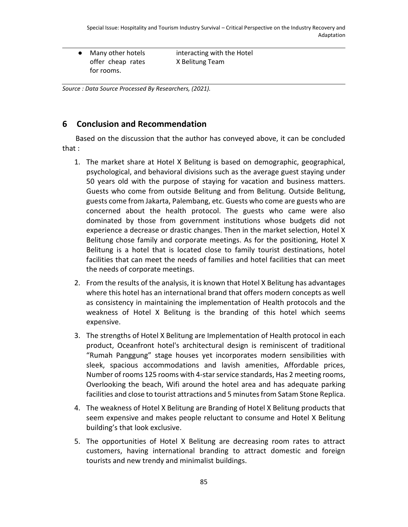● Many other hotels offer cheap rates for rooms.

interacting with the Hotel X Belitung Team

*Source : Data Source Processed By Researchers, (2021).*

## **6 Conclusion and Recommendation**

Based on the discussion that the author has conveyed above, it can be concluded that :

- 1. The market share at Hotel X Belitung is based on demographic, geographical, psychological, and behavioral divisions such as the average guest staying under 50 years old with the purpose of staying for vacation and business matters. Guests who come from outside Belitung and from Belitung. Outside Belitung, guests come from Jakarta, Palembang, etc. Guests who come are guests who are concerned about the health protocol. The guests who came were also dominated by those from government institutions whose budgets did not experience a decrease or drastic changes. Then in the market selection, Hotel X Belitung chose family and corporate meetings. As for the positioning, Hotel X Belitung is a hotel that is located close to family tourist destinations, hotel facilities that can meet the needs of families and hotel facilities that can meet the needs of corporate meetings.
- 2. From the results of the analysis, it is known that Hotel X Belitung has advantages where this hotel has an international brand that offers modern concepts as well as consistency in maintaining the implementation of Health protocols and the weakness of Hotel X Belitung is the branding of this hotel which seems expensive.
- 3. The strengths of Hotel X Belitung are Implementation of Health protocol in each product, Oceanfront hotel's architectural design is reminiscent of traditional "Rumah Panggung" stage houses yet incorporates modern sensibilities with sleek, spacious accommodations and lavish amenities, Affordable prices, Number of rooms 125 rooms with 4-star service standards, Has 2 meeting rooms, Overlooking the beach, Wifi around the hotel area and has adequate parking facilities and close to tourist attractions and 5 minutes from Satam Stone Replica.
- 4. The weakness of Hotel X Belitung are Branding of Hotel X Belitung products that seem expensive and makes people reluctant to consume and Hotel X Belitung building's that look exclusive.
- 5. The opportunities of Hotel X Belitung are decreasing room rates to attract customers, having international branding to attract domestic and foreign tourists and new trendy and minimalist buildings.